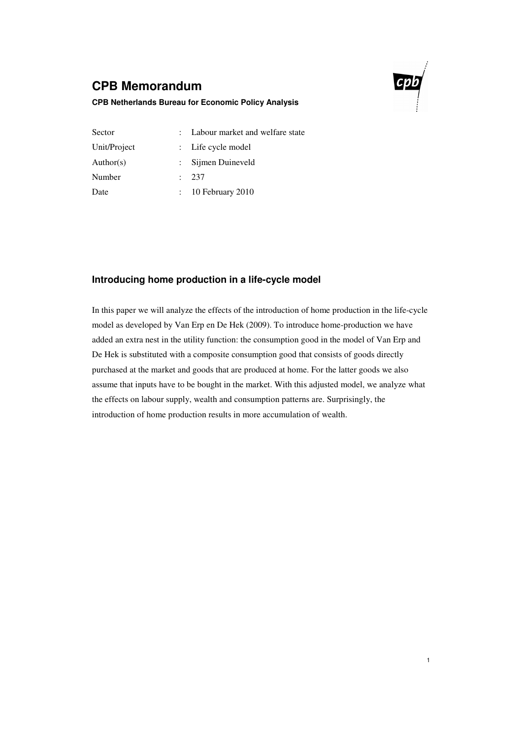# **CPB Memorandum**



1

### **CPB Netherlands Bureau for Economic Policy Analysis**

| Sector       | : Labour market and welfare state |
|--------------|-----------------------------------|
| Unit/Project | : Life cycle model                |
| Author(s)    | Sijmen Duineveld                  |
| Number       | 237                               |
| Date         | $\therefore$ 10 February 2010     |

## **Introducing home production in a life-cycle model**

In this paper we will analyze the effects of the introduction of home production in the life-cycle model as developed by Van Erp en De Hek (2009). To introduce home-production we have added an extra nest in the utility function: the consumption good in the model of Van Erp and De Hek is substituted with a composite consumption good that consists of goods directly purchased at the market and goods that are produced at home. For the latter goods we also assume that inputs have to be bought in the market. With this adjusted model, we analyze what the effects on labour supply, wealth and consumption patterns are. Surprisingly, the introduction of home production results in more accumulation of wealth.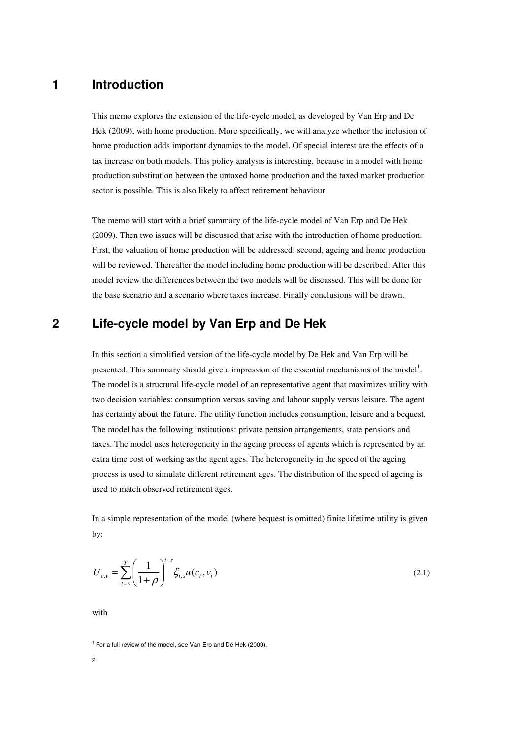## **1 Introduction**

This memo explores the extension of the life-cycle model, as developed by Van Erp and De Hek (2009), with home production. More specifically, we will analyze whether the inclusion of home production adds important dynamics to the model. Of special interest are the effects of a tax increase on both models. This policy analysis is interesting, because in a model with home production substitution between the untaxed home production and the taxed market production sector is possible. This is also likely to affect retirement behaviour.

The memo will start with a brief summary of the life-cycle model of Van Erp and De Hek (2009). Then two issues will be discussed that arise with the introduction of home production. First, the valuation of home production will be addressed; second, ageing and home production will be reviewed. Thereafter the model including home production will be described. After this model review the differences between the two models will be discussed. This will be done for the base scenario and a scenario where taxes increase. Finally conclusions will be drawn.

# **2 Life-cycle model by Van Erp and De Hek**

In this section a simplified version of the life-cycle model by De Hek and Van Erp will be presented. This summary should give a impression of the essential mechanisms of the model<sup>1</sup>. The model is a structural life-cycle model of an representative agent that maximizes utility with two decision variables: consumption versus saving and labour supply versus leisure. The agent has certainty about the future. The utility function includes consumption, leisure and a bequest. The model has the following institutions: private pension arrangements, state pensions and taxes. The model uses heterogeneity in the ageing process of agents which is represented by an extra time cost of working as the agent ages. The heterogeneity in the speed of the ageing process is used to simulate different retirement ages. The distribution of the speed of ageing is used to match observed retirement ages.

In a simple representation of the model (where bequest is omitted) finite lifetime utility is given by:

$$
U_{c,v} = \sum_{t=s}^{T} \left(\frac{1}{1+\rho}\right)^{t-s} \xi_{t,s} u(c_t, v_t)
$$
\n(2.1)

with

<sup>&</sup>lt;sup>1</sup> For a full review of the model, see Van Erp and De Hek (2009).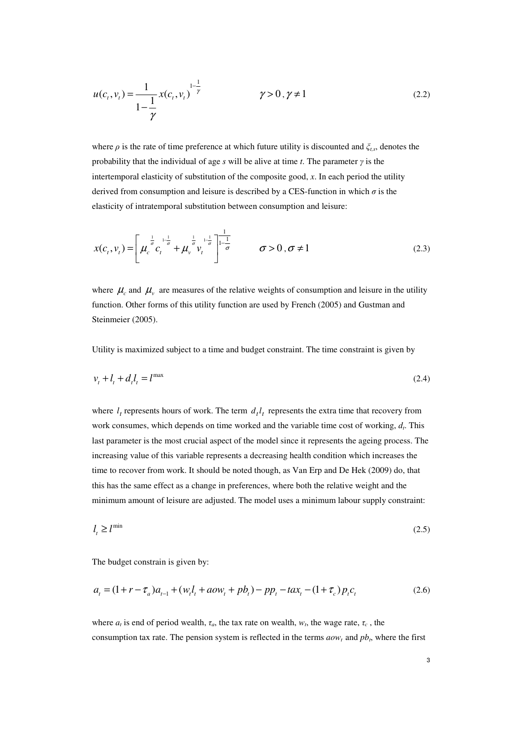$$
u(c_t, v_t) = \frac{1}{1 - \frac{1}{\gamma}} x(c_t, v_t)^{\frac{1 - \frac{1}{\gamma}}{\gamma}}
$$
  $\gamma > 0, \gamma \neq 1$  (2.2)

where *ρ* is the rate of time preference at which future utility is discounted and *ξt,s*, denotes the probability that the individual of age *s* will be alive at time *t*. The parameter *γ* is the intertemporal elasticity of substitution of the composite good, *x*. In each period the utility derived from consumption and leisure is described by a CES-function in which  $\sigma$  is the elasticity of intratemporal substitution between consumption and leisure:

$$
x(c_t, v_t) = \left[ \mu_c^{\frac{1}{\sigma}} c_t^{\frac{1}{1-\frac{1}{\sigma}}} + \mu_v^{\frac{1}{\sigma}} v_t^{\frac{1}{1-\frac{1}{\sigma}}} \right]_{-\frac{1}{\sigma}}^{\frac{1}{1-\frac{1}{\sigma}}} \qquad \sigma > 0, \sigma \neq 1 \tag{2.3}
$$

where  $\mu_c$  and  $\mu_\nu$  are measures of the relative weights of consumption and leisure in the utility function. Other forms of this utility function are used by French (2005) and Gustman and Steinmeier (2005).

Utility is maximized subject to a time and budget constraint. The time constraint is given by

$$
v_t + l_t + d_t l_t = l^{\max} \tag{2.4}
$$

where  $l_t$  represents hours of work. The term  $d_t l_t$  represents the extra time that recovery from work consumes, which depends on time worked and the variable time cost of working, *d<sup>t</sup>* . This last parameter is the most crucial aspect of the model since it represents the ageing process. The increasing value of this variable represents a decreasing health condition which increases the time to recover from work. It should be noted though, as Van Erp and De Hek (2009) do, that this has the same effect as a change in preferences, where both the relative weight and the minimum amount of leisure are adjusted. The model uses a minimum labour supply constraint:

$$
l_t \ge l^{\min} \tag{2.5}
$$

The budget constrain is given by:

$$
a_{t} = (1 + r - \tau_{a})a_{t-1} + (w_{t}l_{t} + aow_{t} + pb_{t}) - pp_{t} - tax_{t} - (1 + \tau_{c})p_{t}c_{t}
$$
\n(2.6)

where  $a_t$  is end of period wealth,  $\tau_a$ , the tax rate on wealth,  $w_t$ , the wage rate,  $\tau_c$ , the consumption tax rate. The pension system is reflected in the terms  $aow_t$  and  $pb_t$ , where the first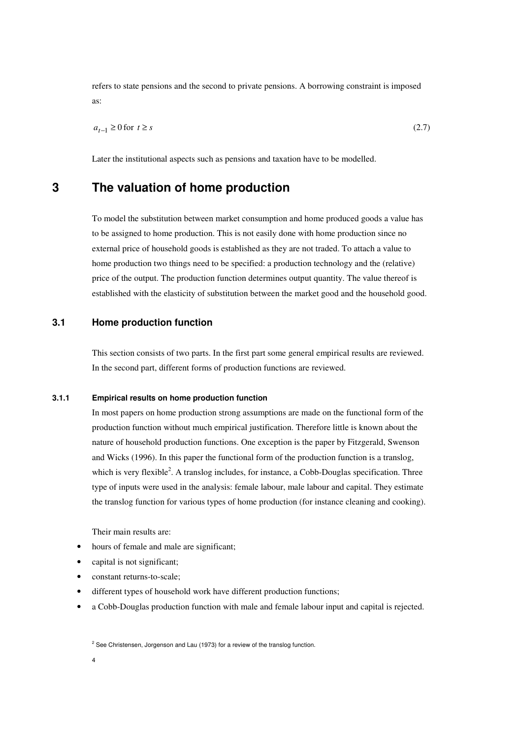refers to state pensions and the second to private pensions. A borrowing constraint is imposed as:

$$
a_{t-1} \ge 0 \text{ for } t \ge s \tag{2.7}
$$

Later the institutional aspects such as pensions and taxation have to be modelled.

## **3 The valuation of home production**

To model the substitution between market consumption and home produced goods a value has to be assigned to home production. This is not easily done with home production since no external price of household goods is established as they are not traded. To attach a value to home production two things need to be specified: a production technology and the (relative) price of the output. The production function determines output quantity. The value thereof is established with the elasticity of substitution between the market good and the household good.

## **3.1 Home production function**

This section consists of two parts. In the first part some general empirical results are reviewed. In the second part, different forms of production functions are reviewed.

### **3.1.1 Empirical results on home production function**

In most papers on home production strong assumptions are made on the functional form of the production function without much empirical justification. Therefore little is known about the nature of household production functions. One exception is the paper by Fitzgerald, Swenson and Wicks (1996). In this paper the functional form of the production function is a translog, which is very flexible<sup>2</sup>. A translog includes, for instance, a Cobb-Douglas specification. Three type of inputs were used in the analysis: female labour, male labour and capital. They estimate the translog function for various types of home production (for instance cleaning and cooking).

Their main results are:

- hours of female and male are significant:
- capital is not significant;
- constant returns-to-scale;
- different types of household work have different production functions;
- a Cobb-Douglas production function with male and female labour input and capital is rejected.

 $2$  See Christensen, Jorgenson and Lau (1973) for a review of the translog function.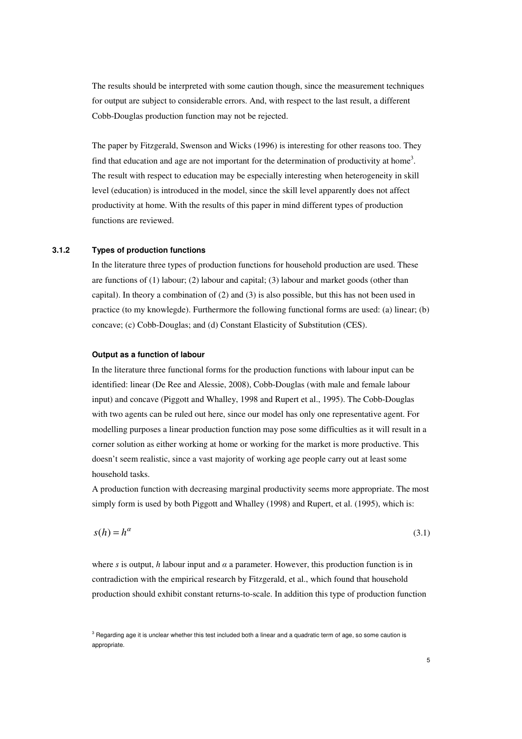The results should be interpreted with some caution though, since the measurement techniques for output are subject to considerable errors. And, with respect to the last result, a different Cobb-Douglas production function may not be rejected.

The paper by Fitzgerald, Swenson and Wicks (1996) is interesting for other reasons too. They find that education and age are not important for the determination of productivity at home<sup>3</sup>. The result with respect to education may be especially interesting when heterogeneity in skill level (education) is introduced in the model, since the skill level apparently does not affect productivity at home. With the results of this paper in mind different types of production functions are reviewed.

#### **3.1.2 Types of production functions**

In the literature three types of production functions for household production are used. These are functions of (1) labour; (2) labour and capital; (3) labour and market goods (other than capital). In theory a combination of (2) and (3) is also possible, but this has not been used in practice (to my knowlegde). Furthermore the following functional forms are used: (a) linear; (b) concave; (c) Cobb-Douglas; and (d) Constant Elasticity of Substitution (CES).

#### **Output as a function of labour**

In the literature three functional forms for the production functions with labour input can be identified: linear (De Ree and Alessie, 2008), Cobb-Douglas (with male and female labour input) and concave (Piggott and Whalley, 1998 and Rupert et al., 1995). The Cobb-Douglas with two agents can be ruled out here, since our model has only one representative agent. For modelling purposes a linear production function may pose some difficulties as it will result in a corner solution as either working at home or working for the market is more productive. This doesn't seem realistic, since a vast majority of working age people carry out at least some household tasks.

A production function with decreasing marginal productivity seems more appropriate. The most simply form is used by both Piggott and Whalley (1998) and Rupert, et al. (1995), which is:

$$
s(h) = h^{\alpha} \tag{3.1}
$$

where *s* is output, *h* labour input and  $\alpha$  a parameter. However, this production function is in contradiction with the empirical research by Fitzgerald, et al., which found that household production should exhibit constant returns-to-scale. In addition this type of production function

 $3$  Regarding age it is unclear whether this test included both a linear and a quadratic term of age, so some caution is appropriate.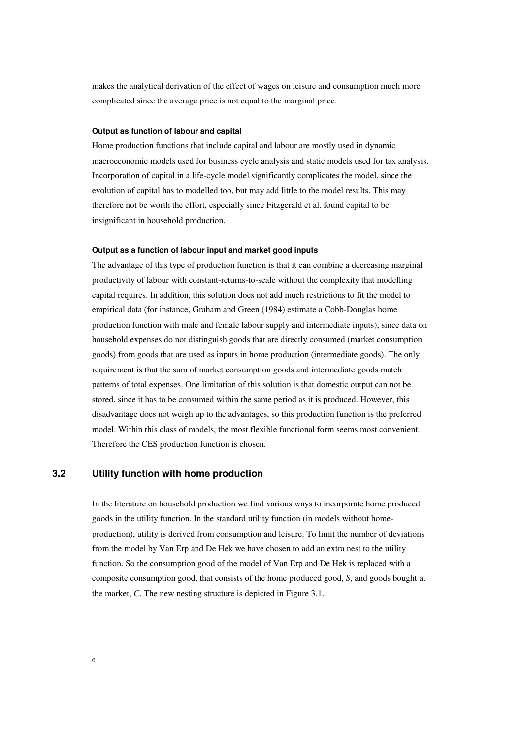makes the analytical derivation of the effect of wages on leisure and consumption much more complicated since the average price is not equal to the marginal price.

#### **Output as function of labour and capital**

Home production functions that include capital and labour are mostly used in dynamic macroeconomic models used for business cycle analysis and static models used for tax analysis. Incorporation of capital in a life-cycle model significantly complicates the model, since the evolution of capital has to modelled too, but may add little to the model results. This may therefore not be worth the effort, especially since Fitzgerald et al. found capital to be insignificant in household production.

#### **Output as a function of labour input and market good inputs**

The advantage of this type of production function is that it can combine a decreasing marginal productivity of labour with constant-returns-to-scale without the complexity that modelling capital requires. In addition, this solution does not add much restrictions to fit the model to empirical data (for instance, Graham and Green (1984) estimate a Cobb-Douglas home production function with male and female labour supply and intermediate inputs), since data on household expenses do not distinguish goods that are directly consumed (market consumption goods) from goods that are used as inputs in home production (intermediate goods). The only requirement is that the sum of market consumption goods and intermediate goods match patterns of total expenses. One limitation of this solution is that domestic output can not be stored, since it has to be consumed within the same period as it is produced. However, this disadvantage does not weigh up to the advantages, so this production function is the preferred model. Within this class of models, the most flexible functional form seems most convenient. Therefore the CES production function is chosen.

### **3.2 Utility function with home production**

In the literature on household production we find various ways to incorporate home produced goods in the utility function. In the standard utility function (in models without homeproduction), utility is derived from consumption and leisure. To limit the number of deviations from the model by Van Erp and De Hek we have chosen to add an extra nest to the utility function. So the consumption good of the model of Van Erp and De Hek is replaced with a composite consumption good, that consists of the home produced good, *S*, and goods bought at the market, *C*. The new nesting structure is depicted in Figure 3.1.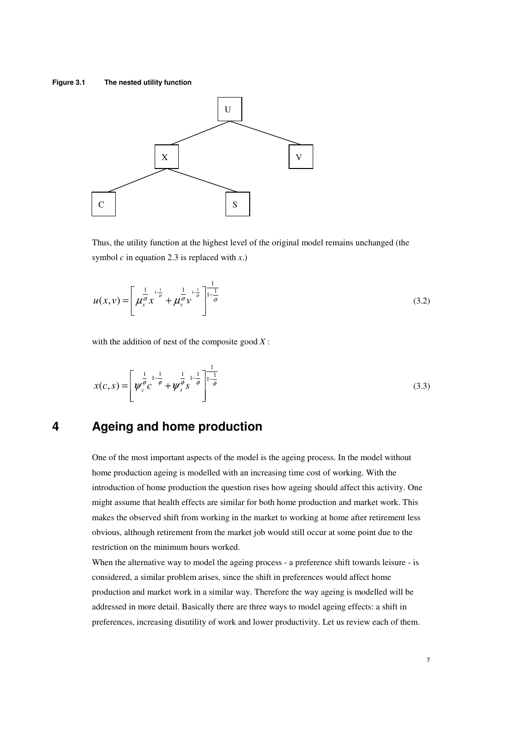#### **Figure 3.1 The nested utility function**



Thus, the utility function at the highest level of the original model remains unchanged (the symbol  $c$  in equation 2.3 is replaced with  $x$ .)

$$
u(x,v) = \left[ \mu_x^{\frac{1}{\sigma}} x^{\frac{1-\frac{1}{\sigma}}{\sigma}} + \mu_v^{\frac{1}{\sigma}} v^{\frac{1-\frac{1}{\sigma}}{\sigma}} \right]_{-\frac{1}{\sigma}}^{\frac{1}{\sigma}}
$$
(3.2)

with the addition of nest of the composite good *X* :

$$
x(c,s) = \left[ \psi_c^{\frac{1}{\phi}} c^{-1-\frac{1}{\phi}} + \psi_s^{\frac{1}{\phi}} s^{-1-\frac{1}{\phi}} \right]_{-\frac{1}{\phi}}^{-1}
$$
(3.3)

# **4 Ageing and home production**

One of the most important aspects of the model is the ageing process. In the model without home production ageing is modelled with an increasing time cost of working. With the introduction of home production the question rises how ageing should affect this activity. One might assume that health effects are similar for both home production and market work. This makes the observed shift from working in the market to working at home after retirement less obvious, although retirement from the market job would still occur at some point due to the restriction on the minimum hours worked.

When the alternative way to model the ageing process - a preference shift towards leisure - is considered, a similar problem arises, since the shift in preferences would affect home production and market work in a similar way. Therefore the way ageing is modelled will be addressed in more detail. Basically there are three ways to model ageing effects: a shift in preferences, increasing disutility of work and lower productivity. Let us review each of them.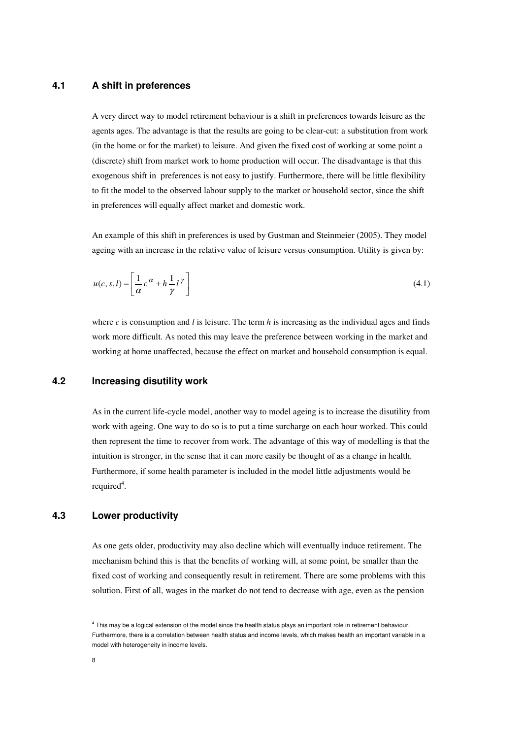## **4.1 A shift in preferences**

A very direct way to model retirement behaviour is a shift in preferences towards leisure as the agents ages. The advantage is that the results are going to be clear-cut: a substitution from work (in the home or for the market) to leisure. And given the fixed cost of working at some point a (discrete) shift from market work to home production will occur. The disadvantage is that this exogenous shift in preferences is not easy to justify. Furthermore, there will be little flexibility to fit the model to the observed labour supply to the market or household sector, since the shift in preferences will equally affect market and domestic work.

An example of this shift in preferences is used by Gustman and Steinmeier (2005). They model ageing with an increase in the relative value of leisure versus consumption. Utility is given by:

$$
u(c, s, l) = \left[\frac{1}{\alpha}c^{\alpha} + h\frac{1}{\gamma}l^{\gamma}\right]
$$
\n(4.1)

where *c* is consumption and *l* is leisure. The term *h* is increasing as the individual ages and finds work more difficult. As noted this may leave the preference between working in the market and working at home unaffected, because the effect on market and household consumption is equal.

### **4.2 Increasing disutility work**

As in the current life-cycle model, another way to model ageing is to increase the disutility from work with ageing. One way to do so is to put a time surcharge on each hour worked. This could then represent the time to recover from work. The advantage of this way of modelling is that the intuition is stronger, in the sense that it can more easily be thought of as a change in health. Furthermore, if some health parameter is included in the model little adjustments would be required<sup>4</sup>.

## **4.3 Lower productivity**

As one gets older, productivity may also decline which will eventually induce retirement. The mechanism behind this is that the benefits of working will, at some point, be smaller than the fixed cost of working and consequently result in retirement. There are some problems with this solution. First of all, wages in the market do not tend to decrease with age, even as the pension

<sup>&</sup>lt;sup>4</sup> This may be a logical extension of the model since the health status plays an important role in retirement behaviour. Furthermore, there is a correlation between health status and income levels, which makes health an important variable in a model with heterogeneity in income levels.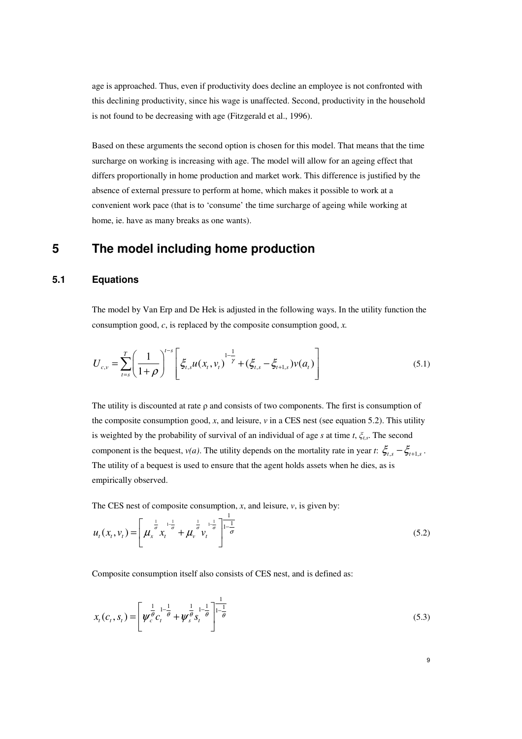age is approached. Thus, even if productivity does decline an employee is not confronted with this declining productivity, since his wage is unaffected. Second, productivity in the household is not found to be decreasing with age (Fitzgerald et al., 1996).

Based on these arguments the second option is chosen for this model. That means that the time surcharge on working is increasing with age. The model will allow for an ageing effect that differs proportionally in home production and market work. This difference is justified by the absence of external pressure to perform at home, which makes it possible to work at a convenient work pace (that is to 'consume' the time surcharge of ageing while working at home, ie. have as many breaks as one wants).

## **5 The model including home production**

### **5.1 Equations**

The model by Van Erp and De Hek is adjusted in the following ways. In the utility function the consumption good, *c*, is replaced by the composite consumption good, *x.*

$$
U_{c,v} = \sum_{t=s}^{T} \left( \frac{1}{1+\rho} \right)^{t-s} \left[ \xi_{t,s} u(x_t, v_t) \right]^{1-\frac{1}{\gamma}} + (\xi_{t,s} - \xi_{t+1,s}) v(a_t) \right]
$$
(5.1)

The utility is discounted at rate  $\rho$  and consists of two components. The first is consumption of the composite consumption good,  $x$ , and leisure,  $v$  in a CES nest (see equation 5.2). This utility is weighted by the probability of survival of an individual of age *s* at time *t*, *ξt,s*. The second component is the bequest, *v(a)*. The utility depends on the mortality rate in year *t*:  $\zeta_{t,s} - \zeta_{t+1,s}$ . The utility of a bequest is used to ensure that the agent holds assets when he dies, as is empirically observed.

The CES nest of composite consumption,  $x$ , and leisure,  $v$ , is given by:

$$
u_t(x_t, v_t) = \left[ \mu_x^{\frac{1}{\sigma}} x_t^{\frac{1}{1-\sigma}} + \mu_v^{\frac{1}{\sigma}} v_t^{\frac{1}{1-\sigma}} \right]_{-\frac{1}{\sigma}}^{\frac{1}{1-\sigma}}
$$
(5.2)

Composite consumption itself also consists of CES nest, and is defined as:

$$
x_{t}(c_{t}, s_{t}) = \left[ \psi_{c}^{\frac{1}{\theta}} c_{t}^{\frac{1}{1-\theta}} + \psi_{s}^{\frac{1}{\theta}} s_{t}^{\frac{1}{1-\theta}} \right]^{\frac{1}{1-\theta}}
$$
(5.3)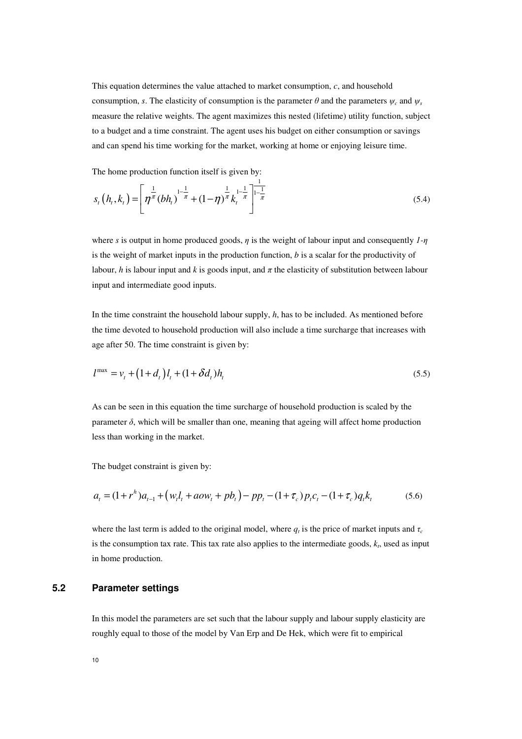This equation determines the value attached to market consumption, *c*, and household consumption, *s*. The elasticity of consumption is the parameter  $\theta$  and the parameters  $\psi_c$  and  $\psi_s$ measure the relative weights. The agent maximizes this nested (lifetime) utility function, subject to a budget and a time constraint. The agent uses his budget on either consumption or savings and can spend his time working for the market, working at home or enjoying leisure time.

The home production function itself is given by:

$$
s_t\left(h_t, k_t\right) = \left[\eta^{\frac{1}{\pi}}\left(bh_t\right)^{1-\frac{1}{\pi}} + (1-\eta)^{\frac{1}{\pi}}k_t^{1-\frac{1}{\pi}}\right]^{\frac{1}{1-\frac{1}{\pi}}}
$$
\n(5.4)

where *s* is output in home produced goods, *η* is the weight of labour input and consequently *1-η* is the weight of market inputs in the production function, *b* is a scalar for the productivity of labour, *h* is labour input and *k* is goods input, and  $\pi$  the elasticity of substitution between labour input and intermediate good inputs.

In the time constraint the household labour supply, *h*, has to be included. As mentioned before the time devoted to household production will also include a time surcharge that increases with age after 50. The time constraint is given by:

$$
l^{\max} = v_t + (1 + d_t)l_t + (1 + \delta d_t)h_t
$$
\n(5.5)

As can be seen in this equation the time surcharge of household production is scaled by the parameter  $\delta$ , which will be smaller than one, meaning that ageing will affect home production less than working in the market.

The budget constraint is given by:

$$
a_{t} = (1 + r^{h})a_{t-1} + (w_{t}l_{t} + aow_{t} + pb_{t}) - pp_{t} - (1 + \tau_{c})p_{t}c_{t} - (1 + \tau_{c})q_{t}k_{t}
$$
(5.6)

where the last term is added to the original model, where  $q_t$  is the price of market inputs and  $\tau_c$ is the consumption tax rate. This tax rate also applies to the intermediate goods, *k<sup>t</sup>* , used as input in home production.

### **5.2 Parameter settings**

In this model the parameters are set such that the labour supply and labour supply elasticity are roughly equal to those of the model by Van Erp and De Hek, which were fit to empirical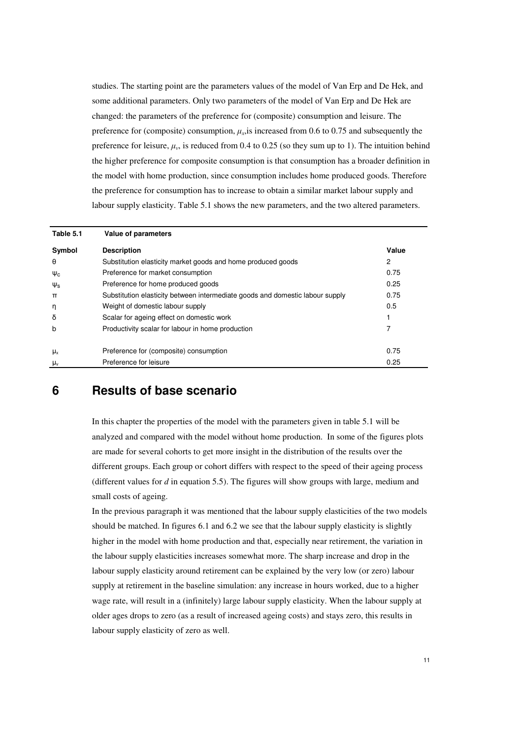studies. The starting point are the parameters values of the model of Van Erp and De Hek, and some additional parameters. Only two parameters of the model of Van Erp and De Hek are changed: the parameters of the preference for (composite) consumption and leisure. The preference for (composite) consumption,  $\mu_x$ , is increased from 0.6 to 0.75 and subsequently the preference for leisure,  $\mu_{\nu}$ , is reduced from 0.4 to 0.25 (so they sum up to 1). The intuition behind the higher preference for composite consumption is that consumption has a broader definition in the model with home production, since consumption includes home produced goods. Therefore the preference for consumption has to increase to obtain a similar market labour supply and labour supply elasticity. Table 5.1 shows the new parameters, and the two altered parameters.

| Table 5.1      | Value of parameters                                                           |       |
|----------------|-------------------------------------------------------------------------------|-------|
| Symbol         | <b>Description</b>                                                            | Value |
| θ              | Substitution elasticity market goods and home produced goods                  | 2     |
| $\Psi_c$       | Preference for market consumption                                             | 0.75  |
| $\Psi_{\rm S}$ | Preference for home produced goods                                            | 0.25  |
| $\pi$          | Substitution elasticity between intermediate goods and domestic labour supply | 0.75  |
| η              | Weight of domestic labour supply                                              | 0.5   |
| δ              | Scalar for ageing effect on domestic work                                     |       |
| b              | Productivity scalar for labour in home production                             |       |
|                |                                                                               |       |
| $\mu_{x}$      | Preference for (composite) consumption                                        | 0.75  |
| $\mu_{v}$      | Preference for leisure                                                        | 0.25  |

## **6 Results of base scenario**

In this chapter the properties of the model with the parameters given in table 5.1 will be analyzed and compared with the model without home production. In some of the figures plots are made for several cohorts to get more insight in the distribution of the results over the different groups. Each group or cohort differs with respect to the speed of their ageing process (different values for *d* in equation 5.5). The figures will show groups with large, medium and small costs of ageing.

In the previous paragraph it was mentioned that the labour supply elasticities of the two models should be matched. In figures 6.1 and 6.2 we see that the labour supply elasticity is slightly higher in the model with home production and that, especially near retirement, the variation in the labour supply elasticities increases somewhat more. The sharp increase and drop in the labour supply elasticity around retirement can be explained by the very low (or zero) labour supply at retirement in the baseline simulation: any increase in hours worked, due to a higher wage rate, will result in a (infinitely) large labour supply elasticity. When the labour supply at older ages drops to zero (as a result of increased ageing costs) and stays zero, this results in labour supply elasticity of zero as well.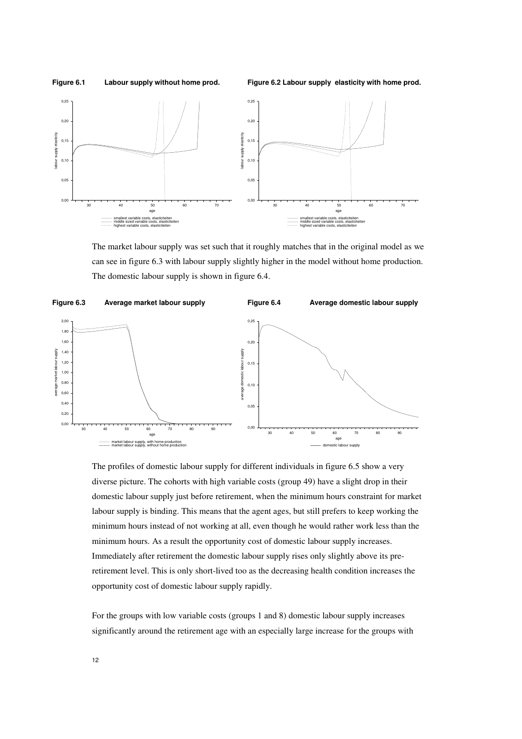

The market labour supply was set such that it roughly matches that in the original model as we can see in figure 6.3 with labour supply slightly higher in the model without home production. The domestic labour supply is shown in figure 6.4.



The profiles of domestic labour supply for different individuals in figure 6.5 show a very diverse picture. The cohorts with high variable costs (group 49) have a slight drop in their domestic labour supply just before retirement, when the minimum hours constraint for market labour supply is binding. This means that the agent ages, but still prefers to keep working the minimum hours instead of not working at all, even though he would rather work less than the minimum hours. As a result the opportunity cost of domestic labour supply increases. Immediately after retirement the domestic labour supply rises only slightly above its preretirement level. This is only short-lived too as the decreasing health condition increases the opportunity cost of domestic labour supply rapidly.

For the groups with low variable costs (groups 1 and 8) domestic labour supply increases significantly around the retirement age with an especially large increase for the groups with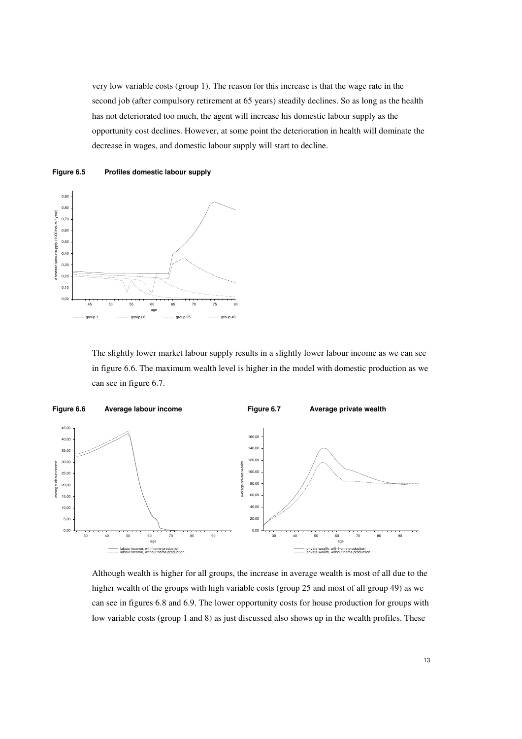very low variable costs (group 1). The reason for this increase is that the wage rate in the second job (after compulsory retirement at 65 years) steadily declines. So as long as the health has not deteriorated too much, the agent will increase his domestic labour supply as the opportunity cost declines. However, at some point the deterioration in health will dominate the decrease in wages, and domestic labour supply will start to decline.





The slightly lower market labour supply results in a slightly lower labour income as we can see in figure 6.6. The maximum wealth level is higher in the model with domestic production as we can see in figure 6.7.



Although wealth is higher for all groups, the increase in average wealth is most of all due to the higher wealth of the groups with high variable costs (group 25 and most of all group 49) as we can see in figures 6.8 and 6.9. The lower opportunity costs for house production for groups with low variable costs (group 1 and 8) as just discussed also shows up in the wealth profiles. These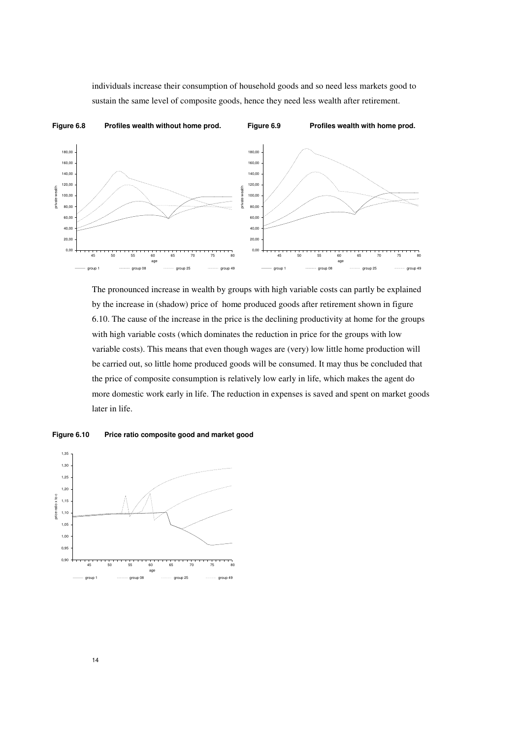individuals increase their consumption of household goods and so need less markets good to sustain the same level of composite goods, hence they need less wealth after retirement.



The pronounced increase in wealth by groups with high variable costs can partly be explained by the increase in (shadow) price of home produced goods after retirement shown in figure 6.10. The cause of the increase in the price is the declining productivity at home for the groups with high variable costs (which dominates the reduction in price for the groups with low variable costs). This means that even though wages are (very) low little home production will be carried out, so little home produced goods will be consumed. It may thus be concluded that the price of composite consumption is relatively low early in life, which makes the agent do more domestic work early in life. The reduction in expenses is saved and spent on market goods later in life.



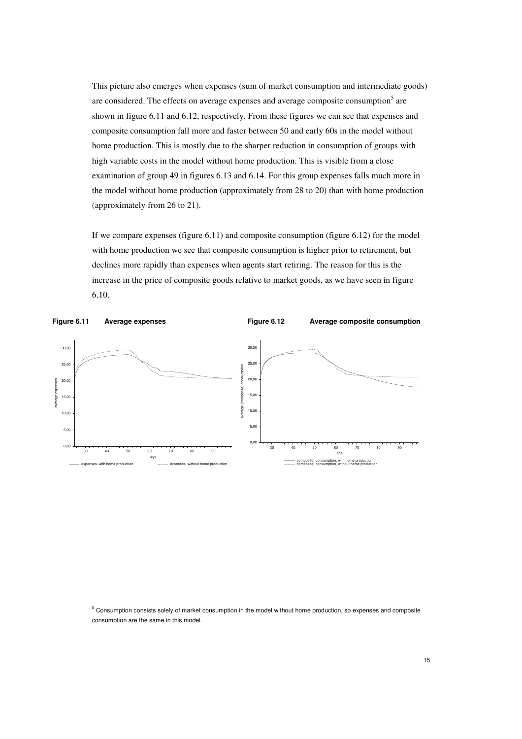This picture also emerges when expenses (sum of market consumption and intermediate goods) are considered. The effects on average expenses and average composite consumption<sup>5</sup> are shown in figure 6.11 and 6.12, respectively. From these figures we can see that expenses and composite consumption fall more and faster between 50 and early 60s in the model without home production. This is mostly due to the sharper reduction in consumption of groups with high variable costs in the model without home production. This is visible from a close examination of group 49 in figures 6.13 and 6.14. For this group expenses falls much more in the model without home production (approximately from 28 to 20) than with home production (approximately from 26 to 21).

If we compare expenses (figure 6.11) and composite consumption (figure 6.12) for the model with home production we see that composite consumption is higher prior to retirement, but declines more rapidly than expenses when agents start retiring. The reason for this is the increase in the price of composite goods relative to market goods, as we have seen in figure 6.10.



5 Consumption consists solely of market consumption in the model without home production, so expenses and composite consumption are the same in this model.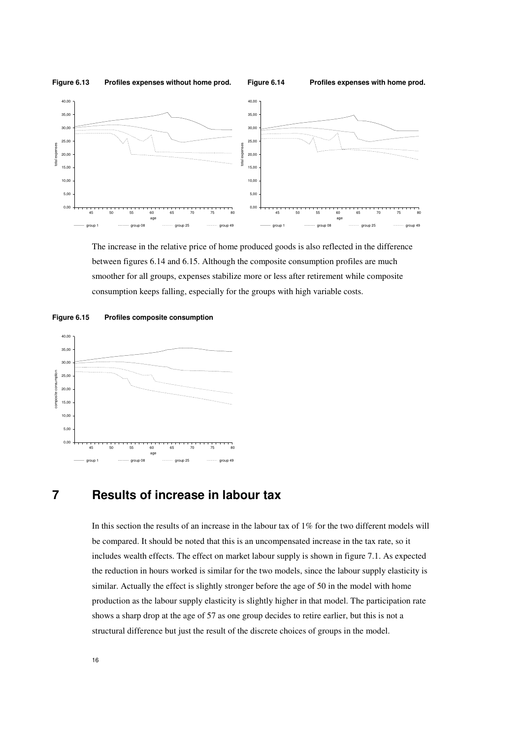

The increase in the relative price of home produced goods is also reflected in the difference between figures 6.14 and 6.15. Although the composite consumption profiles are much smoother for all groups, expenses stabilize more or less after retirement while composite consumption keeps falling, especially for the groups with high variable costs.





## **7 Results of increase in labour tax**

In this section the results of an increase in the labour tax of 1% for the two different models will be compared. It should be noted that this is an uncompensated increase in the tax rate, so it includes wealth effects. The effect on market labour supply is shown in figure 7.1. As expected the reduction in hours worked is similar for the two models, since the labour supply elasticity is similar. Actually the effect is slightly stronger before the age of 50 in the model with home production as the labour supply elasticity is slightly higher in that model. The participation rate shows a sharp drop at the age of 57 as one group decides to retire earlier, but this is not a structural difference but just the result of the discrete choices of groups in the model.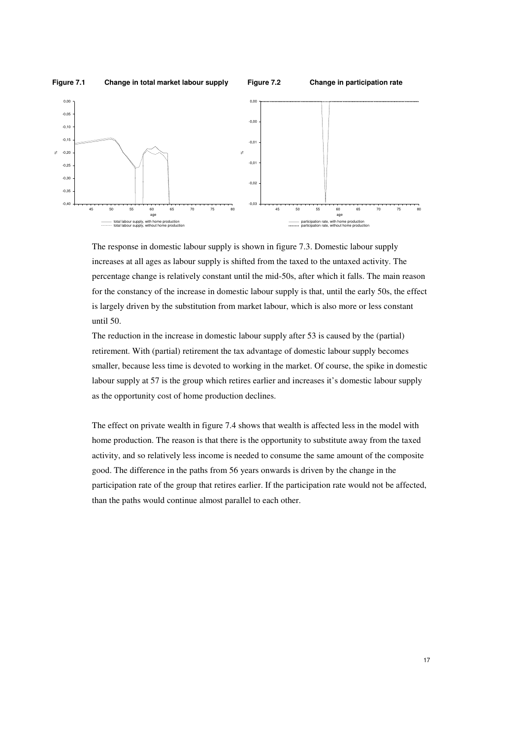

The response in domestic labour supply is shown in figure 7.3. Domestic labour supply increases at all ages as labour supply is shifted from the taxed to the untaxed activity. The percentage change is relatively constant until the mid-50s, after which it falls. The main reason for the constancy of the increase in domestic labour supply is that, until the early 50s, the effect is largely driven by the substitution from market labour, which is also more or less constant until 50.

The reduction in the increase in domestic labour supply after 53 is caused by the (partial) retirement. With (partial) retirement the tax advantage of domestic labour supply becomes smaller, because less time is devoted to working in the market. Of course, the spike in domestic labour supply at 57 is the group which retires earlier and increases it's domestic labour supply as the opportunity cost of home production declines.

The effect on private wealth in figure 7.4 shows that wealth is affected less in the model with home production. The reason is that there is the opportunity to substitute away from the taxed activity, and so relatively less income is needed to consume the same amount of the composite good. The difference in the paths from 56 years onwards is driven by the change in the participation rate of the group that retires earlier. If the participation rate would not be affected, than the paths would continue almost parallel to each other.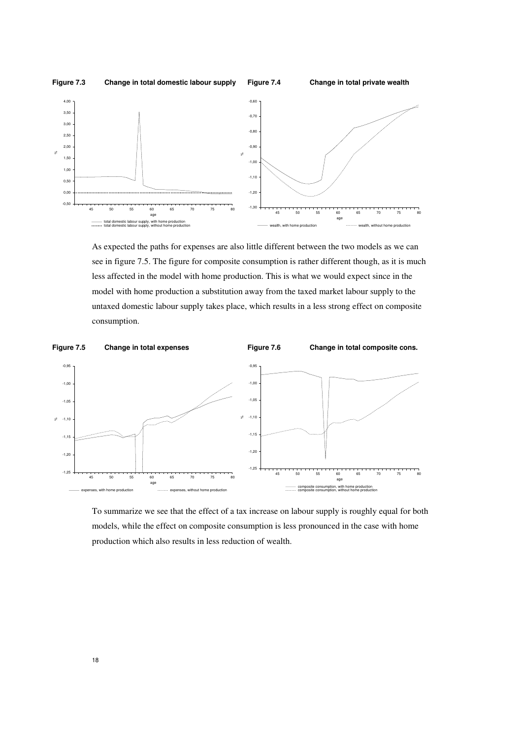

As expected the paths for expenses are also little different between the two models as we can see in figure 7.5. The figure for composite consumption is rather different though, as it is much less affected in the model with home production. This is what we would expect since in the model with home production a substitution away from the taxed market labour supply to the untaxed domestic labour supply takes place, which results in a less strong effect on composite consumption.



To summarize we see that the effect of a tax increase on labour supply is roughly equal for both models, while the effect on composite consumption is less pronounced in the case with home production which also results in less reduction of wealth.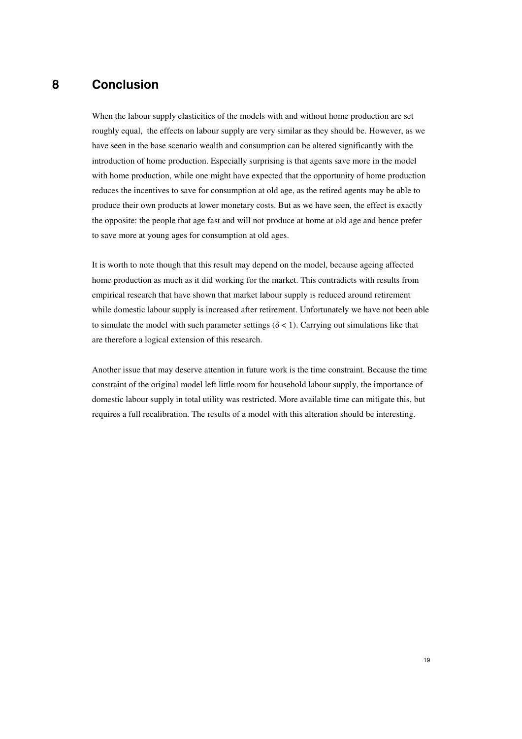# **8 Conclusion**

When the labour supply elasticities of the models with and without home production are set roughly equal, the effects on labour supply are very similar as they should be. However, as we have seen in the base scenario wealth and consumption can be altered significantly with the introduction of home production. Especially surprising is that agents save more in the model with home production, while one might have expected that the opportunity of home production reduces the incentives to save for consumption at old age, as the retired agents may be able to produce their own products at lower monetary costs. But as we have seen, the effect is exactly the opposite: the people that age fast and will not produce at home at old age and hence prefer to save more at young ages for consumption at old ages.

It is worth to note though that this result may depend on the model, because ageing affected home production as much as it did working for the market. This contradicts with results from empirical research that have shown that market labour supply is reduced around retirement while domestic labour supply is increased after retirement. Unfortunately we have not been able to simulate the model with such parameter settings ( $\delta$  < 1). Carrying out simulations like that are therefore a logical extension of this research.

Another issue that may deserve attention in future work is the time constraint. Because the time constraint of the original model left little room for household labour supply, the importance of domestic labour supply in total utility was restricted. More available time can mitigate this, but requires a full recalibration. The results of a model with this alteration should be interesting.